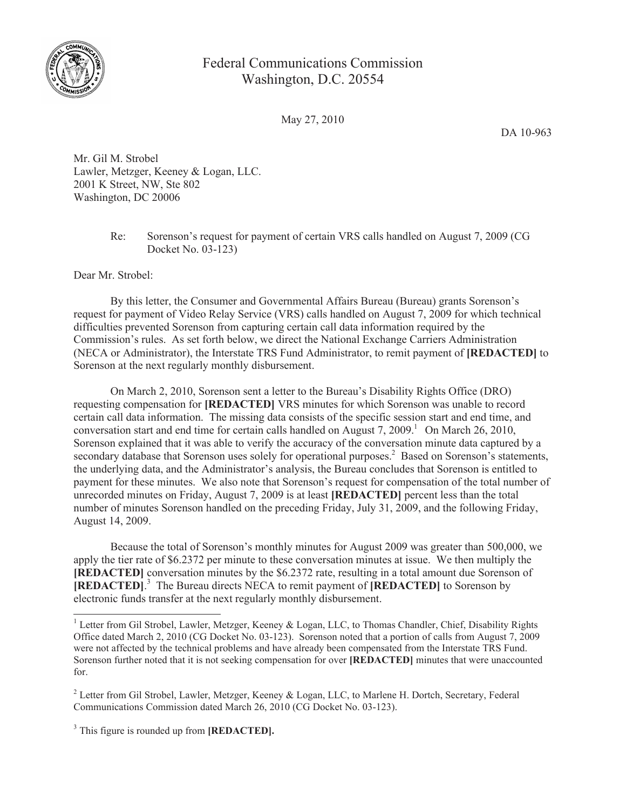

## Federal Communications Commission Washington, D.C. 20554

May 27, 2010

DA 10-963

Mr. Gil M. Strobel Lawler, Metzger, Keeney & Logan, LLC. 2001 K Street, NW, Ste 802 Washington, DC 20006

> Re: Sorenson's request for payment of certain VRS calls handled on August 7, 2009 (CG Docket No. 03-123)

Dear Mr. Strobel:

By this letter, the Consumer and Governmental Affairs Bureau (Bureau) grants Sorenson's request for payment of Video Relay Service (VRS) calls handled on August 7, 2009 for which technical difficulties prevented Sorenson from capturing certain call data information required by the Commission's rules. As set forth below, we direct the National Exchange Carriers Administration (NECA or Administrator), the Interstate TRS Fund Administrator, to remit payment of **[REDACTED]** to Sorenson at the next regularly monthly disbursement.

On March 2, 2010, Sorenson sent a letter to the Bureau's Disability Rights Office (DRO) requesting compensation for **[REDACTED]** VRS minutes for which Sorenson was unable to record certain call data information. The missing data consists of the specific session start and end time, and conversation start and end time for certain calls handled on August 7,  $2009<sup>1</sup>$  On March 26, 2010, Sorenson explained that it was able to verify the accuracy of the conversation minute data captured by a secondary database that Sorenson uses solely for operational purposes.<sup>2</sup> Based on Sorenson's statements, the underlying data, and the Administrator's analysis, the Bureau concludes that Sorenson is entitled to payment for these minutes. We also note that Sorenson's request for compensation of the total number of unrecorded minutes on Friday, August 7, 2009 is at least **[REDACTED]** percent less than the total number of minutes Sorenson handled on the preceding Friday, July 31, 2009, and the following Friday, August 14, 2009.

Because the total of Sorenson's monthly minutes for August 2009 was greater than 500,000, we apply the tier rate of \$6.2372 per minute to these conversation minutes at issue. We then multiply the **[REDACTED]** conversation minutes by the \$6.2372 rate, resulting in a total amount due Sorenson of **[REDACTED]**. <sup>3</sup> The Bureau directs NECA to remit payment of **[REDACTED]** to Sorenson by electronic funds transfer at the next regularly monthly disbursement.

<sup>&</sup>lt;sup>1</sup> Letter from Gil Strobel, Lawler, Metzger, Keeney & Logan, LLC, to Thomas Chandler, Chief, Disability Rights Office dated March 2, 2010 (CG Docket No. 03-123). Sorenson noted that a portion of calls from August 7, 2009 were not affected by the technical problems and have already been compensated from the Interstate TRS Fund. Sorenson further noted that it is not seeking compensation for over **[REDACTED]** minutes that were unaccounted for.

<sup>2</sup> Letter from Gil Strobel, Lawler, Metzger, Keeney & Logan, LLC, to Marlene H. Dortch, Secretary, Federal Communications Commission dated March 26, 2010 (CG Docket No. 03-123).

<sup>3</sup> This figure is rounded up from **[REDACTED].**